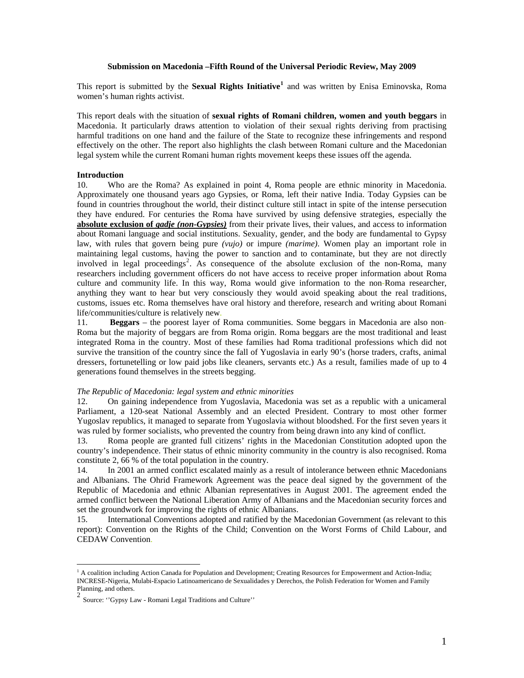# **Submission on Macedonia –Fifth Round of the Universal Periodic Review, May 2009**

This report is submitted by the **Sexual Rights Initiative[1](#page-0-0)** and was written by Enisa Eminovska, Roma women's human rights activist.

This report deals with the situation of **sexual rights of Romani children, women and youth beggars** in Macedonia. It particularly draws attention to violation of their sexual rights deriving from practising harmful traditions on one hand and the failure of the State to recognize these infringements and respond effectively on the other. The report also highlights the clash between Romani culture and the Macedonian legal system while the current Romani human rights movement keeps these issues off the agenda.

# **Introduction**

10. Who are the Roma? As explained in point 4, Roma people are ethnic minority in Macedonia. Approximately one thousand years ago Gypsies, or Roma, left their native India. Today Gypsies can be found in countries throughout the world, their distinct culture still intact in spite of the intense persecution they have endured. For centuries the Roma have survived by using defensive strategies, especially the **absolute exclusion of** *gadje (non-Gypsies)* from their private lives, their values, and access to information about Romani language and social institutions. Sexuality, gender, and the body are fundamental to Gypsy law, with rules that govern being pure *(vujo)* or impure *(marime)*. Women play an important role in maintaining legal customs, having the power to sanction and to contaminate, but they are not directly involved in legal proceedings<sup>[2](#page-0-1)</sup>. As consequence of the absolute exclusion of the non-Roma, many researchers including government officers do not have access to receive proper information about Roma culture and community life. In this way, Roma would give information to the non-Roma researcher, anything they want to hear but very consciously they would avoid speaking about the real traditions, customs, issues etc. Roma themselves have oral history and therefore, research and writing about Romani life/communities/culture is relatively new.

11. **Beggars** – the poorest layer of Roma communities. Some beggars in Macedonia are also non-Roma but the majority of beggars are from Roma origin. Roma beggars are the most traditional and least integrated Roma in the country. Most of these families had Roma traditional professions which did not survive the transition of the country since the fall of Yugoslavia in early 90's (horse traders, crafts, animal dressers, fortunetelling or low paid jobs like cleaners, servants etc.) As a result, families made of up to 4 generations found themselves in the streets begging.

#### *The Republic of Macedonia: legal system and ethnic minorities*

12. On gaining independence from Yugoslavia, Macedonia was set as a republic with a unicameral Parliament, a 120-seat National Assembly and an elected President. Contrary to most other former Yugoslav republics, it managed to separate from Yugoslavia without bloodshed. For the first seven years it was ruled by former socialists, who prevented the country from being drawn into any kind of conflict.

13. Roma people are granted full citizens' rights in the Macedonian Constitution adopted upon the country's independence. Their status of ethnic minority community in the country is also recognised. Roma constitute 2, 66 % of the total population in the country.

14. In 2001 an armed conflict escalated mainly as a result of intolerance between ethnic Macedonians and Albanians. The Ohrid Framework Agreement was the peace deal signed by the government of the [Republic of Macedonia](http://en.wikipedia.org/wiki/Republic_of_Macedonia) and ethnic [Albanian](http://en.wikipedia.org/wiki/Albanians_in_the_Republic_of_Macedonia) representatives in August [2001](http://en.wikipedia.org/wiki/2001). The agreement ended the [armed conflict](http://en.wikipedia.org/wiki/2001_insurgency_in_the_Republic_of_Macedonia) between the [National Liberation Army](http://en.wikipedia.org/wiki/National_Liberation_Army_%28Macedonia%29) of Albanians and the Macedonian security forces and set the groundwork for improving the rights of ethnic Albanians.

15. International Conventions adopted and ratified by the Macedonian Government (as relevant to this report): Convention on the Rights of the Child; Convention on the Worst Forms of Child Labour, and CEDAW Convention.

 $\overline{a}$ 

<span id="page-0-0"></span><sup>&</sup>lt;sup>1</sup> A coalition including Action Canada for Population and Development; Creating Resources for Empowerment and Action-India; INCRESE-Nigeria, Mulabi-Espacio Latinoamericano de Sexualidades y Derechos, the Polish Federation for Women and Family Planning, and others.

<span id="page-0-1"></span><sup>2&</sup>lt;br>Source: "Gypsy Law - Romani Legal Traditions and Culture"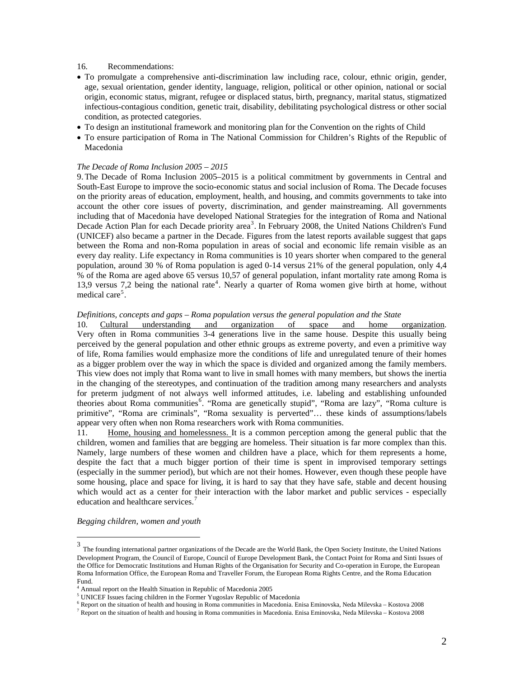## 16. Recommendations:

- To promulgate a comprehensive anti-discrimination law including race, colour, ethnic origin, gender, age, sexual orientation, gender identity, language, religion, political or other opinion, national or social origin, economic status, migrant, refugee or displaced status, birth, pregnancy, marital status, stigmatized infectious-contagious condition, genetic trait, disability, debilitating psychological distress or other social condition, as protected categories.
- To design an institutional framework and monitoring plan for the Convention on the rights of Child
- To ensure participation of Roma in The National Commission for Children's Rights of the Republic of Macedonia

#### *The Decade of Roma Inclusion 2005 – 2015*

9.The Decade of Roma Inclusion 2005–2015 is a political commitment by governments in Central and South-East Europe to improve the socio-economic status and social inclusion of Roma. The Decade focuses on the priority areas of education, employment, health, and housing, and commits governments to take into account the other core issues of poverty, discrimination, and gender mainstreaming. All governments including that of Macedonia have developed National Strategies for the integration of Roma and National Decade Action Plan for each Decade priority area<sup>[3](#page-1-0)</sup>. In February 2008, the United Nations Children's Fund (UNICEF) also became a partner in the Decade. Figures from the latest reports available suggest that gaps between the Roma and non-Roma population in areas of social and economic life remain visible as an every day reality. Life expectancy in Roma communities is 10 years shorter when compared to the general population, around 30 % of Roma population is aged 0-14 versus 21% of the general population, only 4,4 % of the Roma are aged above 65 versus 10,57 of general population, infant mortality rate among Roma is 13,9 versus 7,2 being the national rate<sup>[4](#page-1-1)</sup>. Nearly a quarter of Roma women give birth at home, without medical care<sup>[5](#page-1-2)</sup>.

#### *Definitions, concepts and gaps – Roma population versus the general population and the State*

10. Cultural understanding and organization of space and home organization. Very often in Roma communities 3-4 generations live in the same house. Despite this usually being perceived by the general population and other ethnic groups as extreme poverty, and even a primitive way of life, Roma families would emphasize more the conditions of life and unregulated tenure of their homes as a bigger problem over the way in which the space is divided and organized among the family members. This view does not imply that Roma want to live in small homes with many members, but shows the inertia in the changing of the stereotypes, and continuation of the tradition among many researchers and analysts for preterm judgment of not always well informed attitudes, i.e. labeling and establishing unfounded theories about Roma communities<sup>[6](#page-1-3)</sup>. "Roma are genetically stupid", "Roma are lazy", "Roma culture is primitive", "Roma are criminals", "Roma sexuality is perverted"… these kinds of assumptions/labels appear very often when non Roma researchers work with Roma communities.

11. Home, housing and homelessness. It is a common perception among the general public that the children, women and families that are begging are homeless. Their situation is far more complex than this. Namely, large numbers of these women and children have a place, which for them represents a home, despite the fact that a much bigger portion of their time is spent in improvised temporary settings (especially in the summer period), but which are not their homes. However, even though these people have some housing, place and space for living, it is hard to say that they have safe, stable and decent housing which would act as a center for their interaction with the labor market and public services - especially education and healthcare services.<sup>[7](#page-1-4)</sup>

*Begging children, women and youth*

 $\overline{a}$ 

<span id="page-1-0"></span><sup>&</sup>lt;sup>3</sup> The founding international partner organizations of the Decade are the World Bank, the Open Society Institute, the United Nations Development Program, the Council of Europe, Council of Europe Development Bank, the Contact Point for Roma and Sinti Issues of the Office for Democratic Institutions and Human Rights of the Organisation for Security and Co-operation in Europe, the European Roma Information Office, the European Roma and Traveller Forum, the European Roma Rights Centre, and the Roma Education Fund.

<span id="page-1-2"></span><span id="page-1-1"></span><sup>&</sup>lt;sup>4</sup> Annual report on the Health Situation in Republic of Macedonia 2005

 $^5$  UNICEF Issues facing children in the Former Yugoslav Republic of Macedonia  $^6$  Benevit and the situation of health and have in Beneve communities in Macedonia. En

<span id="page-1-3"></span> $6$  Report on the situation of health and housing in Roma communities in Macedonia. Enisa Eminovska, Neda Milevska – Kostova 2008

<span id="page-1-4"></span> $^7$  Report on the situation of health and housing in Roma communities in Macedonia. Enisa Eminovska, Neda Milevska – Kostova 2008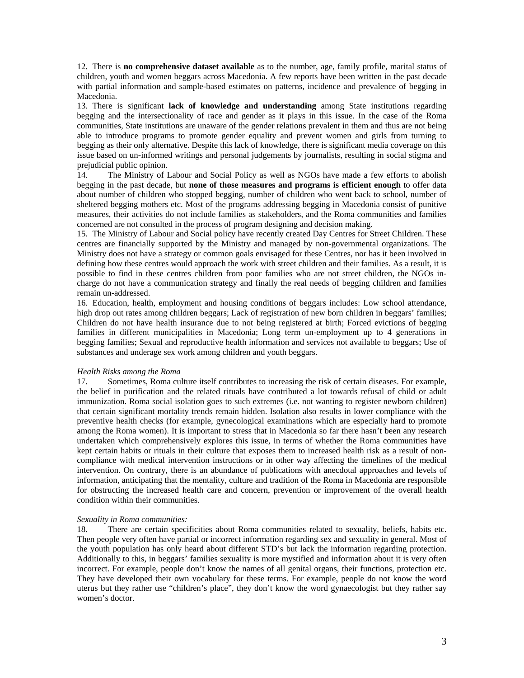12. There is **no comprehensive dataset available** as to the number, age, family profile, marital status of children, youth and women beggars across Macedonia. A few reports have been written in the past decade with partial information and sample-based estimates on patterns, incidence and prevalence of begging in Macedonia.

13. There is significant **lack of knowledge and understanding** among State institutions regarding begging and the intersectionality of race and gender as it plays in this issue. In the case of the Roma communities, State institutions are unaware of the gender relations prevalent in them and thus are not being able to introduce programs to promote gender equality and prevent women and girls from turning to begging as their only alternative. Despite this lack of knowledge, there is significant media coverage on this issue based on un-informed writings and personal judgements by journalists, resulting in social stigma and prejudicial public opinion.

14. The Ministry of Labour and Social Policy as well as NGOs have made a few efforts to abolish begging in the past decade, but **none of those measures and programs is efficient enough** to offer data about number of children who stopped begging, number of children who went back to school, number of sheltered begging mothers etc. Most of the programs addressing begging in Macedonia consist of punitive measures, their activities do not include families as stakeholders, and the Roma communities and families concerned are not consulted in the process of program designing and decision making.

15. The Ministry of Labour and Social policy have recently created Day Centres for Street Children. These centres are financially supported by the Ministry and managed by non-governmental organizations. The Ministry does not have a strategy or common goals envisaged for these Centres, nor has it been involved in defining how these centres would approach the work with street children and their families. As a result, it is possible to find in these centres children from poor families who are not street children, the NGOs incharge do not have a communication strategy and finally the real needs of begging children and families remain un-addressed.

16. Education, health, employment and housing conditions of beggars includes: Low school attendance, high drop out rates among children beggars; Lack of registration of new born children in beggars' families; Children do not have health insurance due to not being registered at birth; Forced evictions of begging families in different municipalities in Macedonia; Long term un-employment up to 4 generations in begging families; Sexual and reproductive health information and services not available to beggars; Use of substances and underage sex work among children and youth beggars.

### *Health Risks among the Roma*

17. Sometimes, Roma culture itself contributes to increasing the risk of certain diseases. For example, the belief in purification and the related rituals have contributed a lot towards refusal of child or adult immunization. Roma social isolation goes to such extremes (i.e. not wanting to register newborn children) that certain significant mortality trends remain hidden. Isolation also results in lower compliance with the preventive health checks (for example, gynecological examinations which are especially hard to promote among the Roma women). It is important to stress that in Macedonia so far there hasn't been any research undertaken which comprehensively explores this issue, in terms of whether the Roma communities have kept certain habits or rituals in their culture that exposes them to increased health risk as a result of noncompliance with medical intervention instructions or in other way affecting the timelines of the medical intervention. On contrary, there is an abundance of publications with anecdotal approaches and levels of information, anticipating that the mentality, culture and tradition of the Roma in Macedonia are responsible for obstructing the increased health care and concern, prevention or improvement of the overall health condition within their communities.

#### *Sexuality in Roma communities:*

18. There are certain specificities about Roma communities related to sexuality, beliefs, habits etc. Then people very often have partial or incorrect information regarding sex and sexuality in general. Most of the youth population has only heard about different STD's but lack the information regarding protection. Additionally to this, in beggars' families sexuality is more mystified and information about it is very often incorrect. For example, people don't know the names of all genital organs, their functions, protection etc. They have developed their own vocabulary for these terms. For example, people do not know the word uterus but they rather use "children's place", they don't know the word gynaecologist but they rather say women's doctor.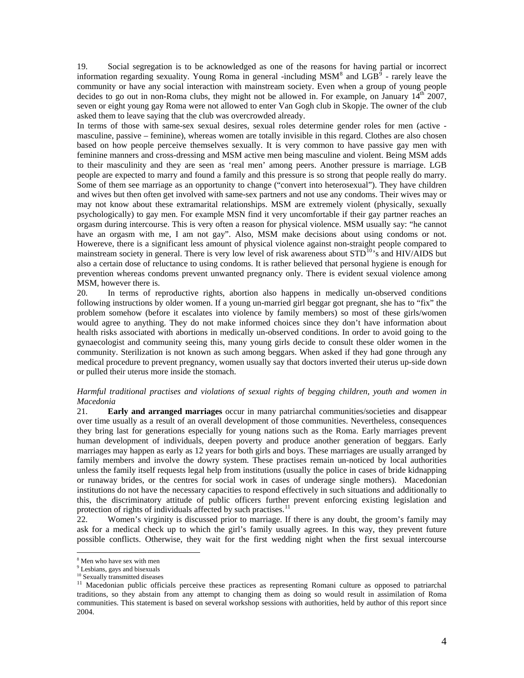19. Social segregation is to be acknowledged as one of the reasons for having partial or incorrect information regarding sexuality. Young Roma in general -including MSM<sup>[8](#page-3-0)</sup> and  $LGB^{\overline{9}}$  $LGB^{\overline{9}}$  $LGB^{\overline{9}}$  - rarely leave the community or have any social interaction with mainstream society. Even when a group of young people decides to go out in non-Roma clubs, they might not be allowed in. For example, on January  $14<sup>th</sup>$  2007, seven or eight young gay Roma were not allowed to enter Van Gogh club in Skopje. The owner of the club asked them to leave saying that the club was overcrowded already.

In terms of those with same-sex sexual desires, sexual roles determine gender roles for men (active masculine, passive – feminine), whereas women are totally invisible in this regard. Clothes are also chosen based on how people perceive themselves sexually. It is very common to have passive gay men with feminine manners and cross-dressing and MSM active men being masculine and violent. Being MSM adds to their masculinity and they are seen as 'real men' among peers. Another pressure is marriage. LGB people are expected to marry and found a family and this pressure is so strong that people really do marry. Some of them see marriage as an opportunity to change ("convert into heterosexual"). They have children and wives but then often get involved with same-sex partners and not use any condoms. Their wives may or may not know about these extramarital relationships. MSM are extremely violent (physically, sexually psychologically) to gay men. For example MSN find it very uncomfortable if their gay partner reaches an orgasm during intercourse. This is very often a reason for physical violence. MSM usually say: "he cannot have an orgasm with me, I am not gay". Also, MSM make decisions about using condoms or not. Howereve, there is a significant less amount of physical violence against non-straight people compared to mainstream society in general. There is very low level of risk awareness about STD<sup>[10](#page-3-2)</sup>'s and HIV/AIDS but also a certain dose of reluctance to using condoms. It is rather believed that personal hygiene is enough for prevention whereas condoms prevent unwanted pregnancy only. There is evident sexual violence among MSM, however there is.

20. In terms of reproductive rights, abortion also happens in medically un-observed conditions following instructions by older women. If a young un-married girl beggar got pregnant, she has to "fix" the problem somehow (before it escalates into violence by family members) so most of these girls/women would agree to anything. They do not make informed choices since they don't have information about health risks associated with abortions in medically un-observed conditions. In order to avoid going to the gynaecologist and community seeing this, many young girls decide to consult these older women in the community. Sterilization is not known as such among beggars. When asked if they had gone through any medical procedure to prevent pregnancy, women usually say that doctors inverted their uterus up-side down or pulled their uterus more inside the stomach.

# *Harmful traditional practises and violations of sexual rights of begging children, youth and women in Macedonia*

21. **Early and arranged marriages** occur in many patriarchal communities/societies and disappear over time usually as a result of an overall development of those communities. Nevertheless, consequences they bring last for generations especially for young nations such as the Roma. Early marriages prevent human development of individuals, deepen poverty and produce another generation of beggars. Early marriages may happen as early as 12 years for both girls and boys. These marriages are usually arranged by family members and involve the dowry system. These practises remain un-noticed by local authorities unless the family itself requests legal help from institutions (usually the police in cases of bride kidnapping or runaway brides, or the centres for social work in cases of underage single mothers). Macedonian institutions do not have the necessary capacities to respond effectively in such situations and additionally to this, the discriminatory attitude of public officers further prevent enforcing existing legislation and protection of rights of individuals affected by such practises.<sup>[11](#page-3-3)</sup>

22. Women's virginity is discussed prior to marriage. If there is any doubt, the groom's family may ask for a medical check up to which the girl's family usually agrees. In this way, they prevent future possible conflicts. Otherwise, they wait for the first wedding night when the first sexual intercourse

 $\overline{a}$ 

<span id="page-3-0"></span><sup>8</sup> Men who have sex with men

<sup>&</sup>lt;sup>9</sup> Lesbians, gays and bisexuals

<span id="page-3-2"></span><span id="page-3-1"></span><sup>&</sup>lt;sup>10</sup> Sexually transmitted diseases

<span id="page-3-3"></span><sup>&</sup>lt;sup>11</sup> Macedonian public officials perceive these practices as representing Romani culture as opposed to patriarchal traditions, so they abstain from any attempt to changing them as doing so would result in assimilation of Roma communities. This statement is based on several workshop sessions with authorities, held by author of this report since 2004.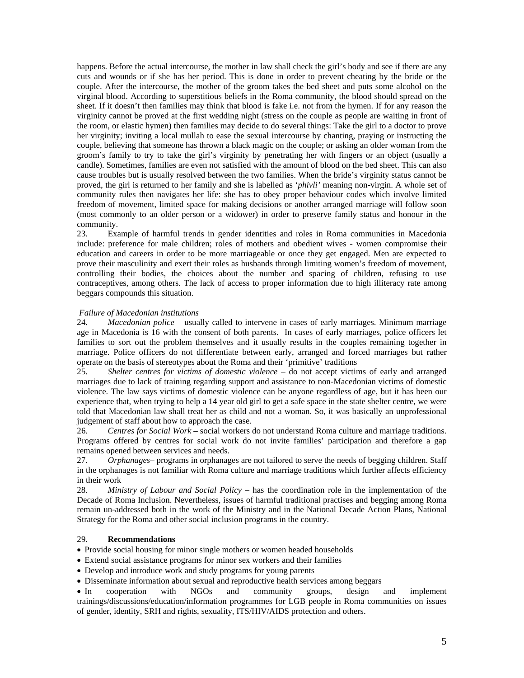happens. Before the actual intercourse, the mother in law shall check the girl's body and see if there are any cuts and wounds or if she has her period. This is done in order to prevent cheating by the bride or the couple. After the intercourse, the mother of the groom takes the bed sheet and puts some alcohol on the virginal blood. According to superstitious beliefs in the Roma community, the blood should spread on the sheet. If it doesn't then families may think that blood is fake i.e. not from the hymen. If for any reason the virginity cannot be proved at the first wedding night (stress on the couple as people are waiting in front of the room, or elastic hymen) then families may decide to do several things: Take the girl to a doctor to prove her virginity; inviting a local mullah to ease the sexual intercourse by chanting, praying or instructing the couple, believing that someone has thrown a black magic on the couple; or asking an older woman from the groom's family to try to take the girl's virginity by penetrating her with fingers or an object (usually a candle). Sometimes, families are even not satisfied with the amount of blood on the bed sheet. This can also cause troubles but is usually resolved between the two families. When the bride's virginity status cannot be proved, the girl is returned to her family and she is labelled as '*phivli'* meaning non-virgin. A whole set of community rules then navigates her life: she has to obey proper behaviour codes which involve limited freedom of movement, limited space for making decisions or another arranged marriage will follow soon (most commonly to an older person or a widower) in order to preserve family status and honour in the community.

23. Example of harmful trends in gender identities and roles in Roma communities in Macedonia include: preference for male children; roles of mothers and obedient wives - women compromise their education and careers in order to be more marriageable or once they get engaged. Men are expected to prove their masculinity and exert their roles as husbands through limiting women's freedom of movement, controlling their bodies, the choices about the number and spacing of children, refusing to use contraceptives, among others. The lack of access to proper information due to high illiteracy rate among beggars compounds this situation.

# *Failure of Macedonian institutions*

24. *Macedonian police* – usually called to intervene in cases of early marriages. Minimum marriage age in Macedonia is 16 with the consent of both parents. In cases of early marriages, police officers let families to sort out the problem themselves and it usually results in the couples remaining together in marriage. Police officers do not differentiate between early, arranged and forced marriages but rather operate on the basis of stereotypes about the Roma and their 'primitive' traditions

25. *Shelter centres for victims of domestic violence* – do not accept victims of early and arranged marriages due to lack of training regarding support and assistance to non-Macedonian victims of domestic violence. The law says victims of domestic violence can be anyone regardless of age, but it has been our experience that, when trying to help a 14 year old girl to get a safe space in the state shelter centre, we were told that Macedonian law shall treat her as child and not a woman. So, it was basically an unprofessional judgement of staff about how to approach the case.

26. *Centres for Social Work* – social workers do not understand Roma culture and marriage traditions. Programs offered by centres for social work do not invite families' participation and therefore a gap remains opened between services and needs.

27. *Orphanages*– programs in orphanages are not tailored to serve the needs of begging children. Staff in the orphanages is not familiar with Roma culture and marriage traditions which further affects efficiency in their work

28. *Ministry of Labour and Social Policy* – has the coordination role in the implementation of the Decade of Roma Inclusion. Nevertheless, issues of harmful traditional practises and begging among Roma remain un-addressed both in the work of the Ministry and in the National Decade Action Plans, National Strategy for the Roma and other social inclusion programs in the country.

### 29. **Recommendations**

• Provide social housing for minor single mothers or women headed households

- Extend social assistance programs for minor sex workers and their families
- Develop and introduce work and study programs for young parents

• Disseminate information about sexual and reproductive health services among beggars

• In cooperation with NGOs and community groups, design and implement trainings/discussions/education/information programmes for LGB people in Roma communities on issues of gender, identity, SRH and rights, sexuality, ITS/HIV/AIDS protection and others.